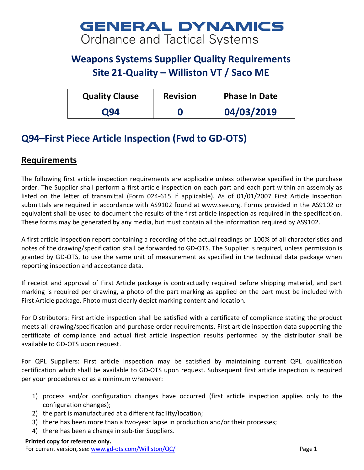# **GENERAL DYNAMICS Ordnance and Tactical Systems**

# **Weapons Systems Supplier Quality Requirements Site 21-Quality – Williston VT / Saco ME**

| <b>Quality Clause</b> | <b>Revision</b> | <b>Phase In Date</b> |
|-----------------------|-----------------|----------------------|
| <b>O94</b>            |                 | 04/03/2019           |

## **Q94–First Piece Article Inspection (Fwd to GD-OTS)**

### **Requirements**

The following first article inspection requirements are applicable unless otherwise specified in the purchase order. The Supplier shall perform a first article inspection on each part and each part within an assembly as listed on the letter of transmittal (Form 024-615 if applicable). As of 01/01/2007 First Article Inspection submittals are required in accordance with AS9102 found at www.sae.org. Forms provided in the AS9102 or equivalent shall be used to document the results of the first article inspection as required in the specification. These forms may be generated by any media, but must contain all the information required by AS9102.

A first article inspection report containing a recording of the actual readings on 100% of all characteristics and notes of the drawing/specification shall be forwarded to GD-OTS. The Supplier is required, unless permission is granted by GD-OTS, to use the same unit of measurement as specified in the technical data package when reporting inspection and acceptance data.

If receipt and approval of First Article package is contractually required before shipping material, and part marking is required per drawing, a photo of the part marking as applied on the part must be included with First Article package. Photo must clearly depict marking content and location.

For Distributors: First article inspection shall be satisfied with a certificate of compliance stating the product meets all drawing/specification and purchase order requirements. First article inspection data supporting the certificate of compliance and actual first article inspection results performed by the distributor shall be available to GD-OTS upon request.

For QPL Suppliers: First article inspection may be satisfied by maintaining current QPL qualification certification which shall be available to GD-OTS upon request. Subsequent first article inspection is required per your procedures or as a minimum whenever:

- 1) process and/or configuration changes have occurred (first article inspection applies only to the configuration changes);
- 2) the part is manufactured at a different facility/location;
- 3) there has been more than a two-year lapse in production and/or their processes;
- 4) there has been a change in sub-tier Suppliers.

#### **Printed copy for reference only.**

For current version, see: [www.gd-ots.com/Williston/QC/](http://www.gd-ots.com/Williston/QC/) Page 1